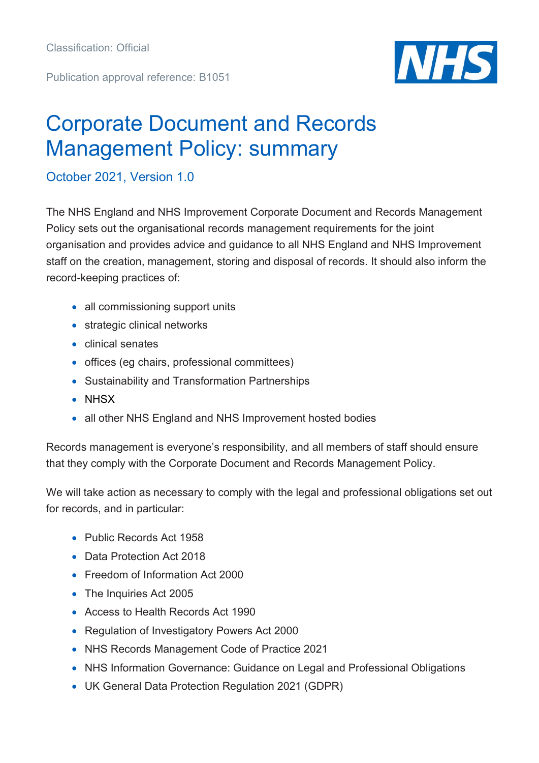Publication approval reference: B1051



## Corporate Document and Records Management Policy: summary

October 2021, Version 1.0

The NHS England and NHS Improvement Corporate Document and Records Management Policy sets out the organisational records management requirements for the joint organisation and provides advice and guidance to all NHS England and NHS Improvement staff on the creation, management, storing and disposal of records. It should also inform the record-keeping practices of:

- all commissioning support units
- strategic clinical networks
- clinical senates
- offices (eg chairs, professional committees)
- Sustainability and Transformation Partnerships
- NHSX
- all other NHS England and NHS Improvement hosted bodies

Records management is everyone's responsibility, and all members of staff should ensure that they comply with the Corporate Document and Records Management Policy.

We will take action as necessary to comply with the legal and professional obligations set out for records, and in particular:

- Public Records Act 1958
- Data Protection Act 2018
- Freedom of Information Act 2000
- The Inquiries Act 2005
- Access to Health Records Act 1990
- Regulation of Investigatory Powers Act 2000
- NHS Records Management Code of Practice 2021
- NHS Information Governance: Guidance on Legal and Professional Obligations
- UK General Data Protection Regulation 2021 (GDPR)